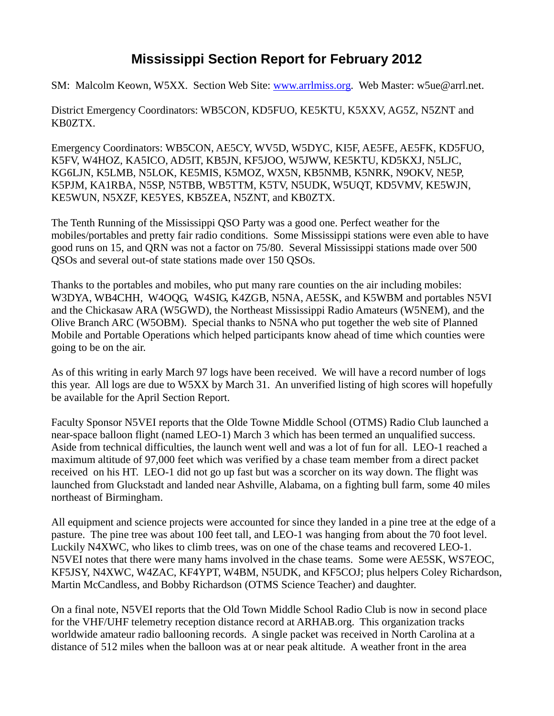## **Mississippi Section Report for February 2012**

SM: Malcolm Keown, W5XX. Section Web Site: [www.arrlmiss.org.](http://www.arrlmiss.org/) Web Master: w5ue@arrl.net.

District Emergency Coordinators: WB5CON, KD5FUO, KE5KTU, K5XXV, AG5Z, N5ZNT and KB0ZTX.

Emergency Coordinators: WB5CON, AE5CY, WV5D, W5DYC, KI5F, AE5FE, AE5FK, KD5FUO, K5FV, W4HOZ, KA5ICO, AD5IT, KB5JN, KF5JOO, W5JWW, KE5KTU, KD5KXJ, N5LJC, KG6LJN, K5LMB, N5LOK, KE5MIS, K5MOZ, WX5N, KB5NMB, K5NRK, N9OKV, NE5P, K5PJM, KA1RBA, N5SP, N5TBB, WB5TTM, K5TV, N5UDK, W5UQT, KD5VMV, KE5WJN, KE5WUN, N5XZF, KE5YES, KB5ZEA, N5ZNT, and KB0ZTX.

The Tenth Running of the Mississippi QSO Party was a good one. Perfect weather for the mobiles/portables and pretty fair radio conditions. Some Mississippi stations were even able to have good runs on 15, and QRN was not a factor on 75/80. Several Mississippi stations made over 500 QSOs and several out-of state stations made over 150 QSOs.

Thanks to the portables and mobiles, who put many rare counties on the air including mobiles: W3DYA, WB4CHH, W4OQG, W4SIG, K4ZGB, N5NA, AE5SK, and K5WBM and portables N5VI and the Chickasaw ARA (W5GWD), the Northeast Mississippi Radio Amateurs (W5NEM), and the Olive Branch ARC (W5OBM). Special thanks to N5NA who put together the web site of Planned Mobile and Portable Operations which helped participants know ahead of time which counties were going to be on the air.

As of this writing in early March 97 logs have been received. We will have a record number of logs this year. All logs are due to W5XX by March 31. An unverified listing of high scores will hopefully be available for the April Section Report.

Faculty Sponsor N5VEI reports that the Olde Towne Middle School (OTMS) Radio Club launched a near-space balloon flight (named LEO-1) March 3 which has been termed an unqualified success. Aside from technical difficulties, the launch went well and was a lot of fun for all. LEO-1 reached a maximum altitude of 97,000 feet which was verified by a chase team member from a direct packet received on his HT. LEO-1 did not go up fast but was a scorcher on its way down. The flight was launched from Gluckstadt and landed near Ashville, Alabama, on a fighting bull farm, some 40 miles northeast of Birmingham.

All equipment and science projects were accounted for since they landed in a pine tree at the edge of a pasture. The pine tree was about 100 feet tall, and LEO-1 was hanging from about the 70 foot level. Luckily N4XWC, who likes to climb trees, was on one of the chase teams and recovered LEO-1. N5VEI notes that there were many hams involved in the chase teams. Some were AE5SK, WS7EOC, KF5JSY, N4XWC, W4ZAC, KF4YPT, W4BM, N5UDK, and KF5COJ; plus helpers Coley Richardson, Martin McCandless, and Bobby Richardson (OTMS Science Teacher) and daughter.

On a final note, N5VEI reports that the Old Town Middle School Radio Club is now in second place for the VHF/UHF telemetry reception distance record at ARHAB.org. This organization tracks worldwide amateur radio ballooning records. A single packet was received in North Carolina at a distance of 512 miles when the balloon was at or near peak altitude. A weather front in the area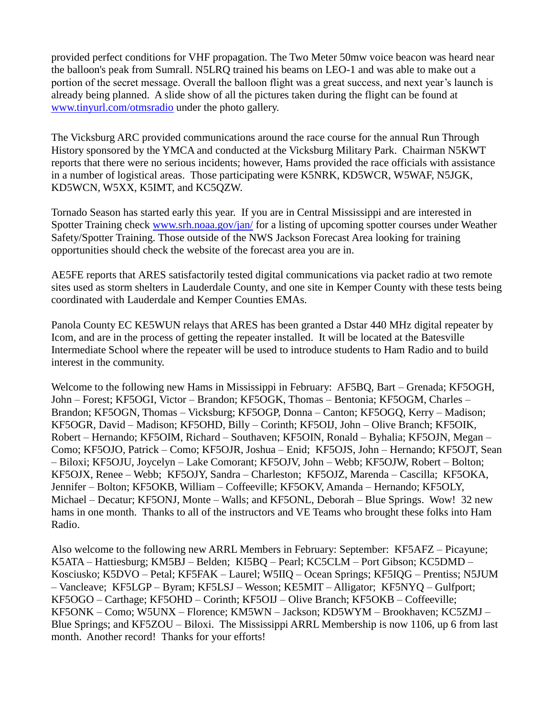provided perfect conditions for VHF propagation. The Two Meter 50mw voice beacon was heard near the balloon's peak from Sumrall. N5LRQ trained his beams on LEO-1 and was able to make out a portion of the secret message. Overall the balloon flight was a great success, and next year's launch is already being planned. A slide show of all the pictures taken during the flight can be found at [www.tinyurl.com/otmsradio](http://www.tinyurl.com/otmsradio) under the photo gallery.

The Vicksburg ARC provided communications around the race course for the annual Run Through History sponsored by the YMCA and conducted at the Vicksburg Military Park. Chairman N5KWT reports that there were no serious incidents; however, Hams provided the race officials with assistance in a number of logistical areas. Those participating were K5NRK, KD5WCR, W5WAF, N5JGK, KD5WCN, W5XX, K5IMT, and KC5QZW.

Tornado Season has started early this year. If you are in Central Mississippi and are interested in Spotter Training check [www.srh.noaa.gov/jan/](http://www.srh.noaa.gov/jan/) for a listing of upcoming spotter courses under Weather Safety/Spotter Training. Those outside of the NWS Jackson Forecast Area looking for training opportunities should check the website of the forecast area you are in.

AE5FE reports that ARES satisfactorily tested digital communications via packet radio at two remote sites used as storm shelters in Lauderdale County, and one site in Kemper County with these tests being coordinated with Lauderdale and Kemper Counties EMAs.

Panola County EC KE5WUN relays that ARES has been granted a Dstar 440 MHz digital repeater by Icom, and are in the process of getting the repeater installed. It will be located at the Batesville Intermediate School where the repeater will be used to introduce students to Ham Radio and to build interest in the community.

Welcome to the following new Hams in Mississippi in February: AF5BQ, Bart – Grenada; KF5OGH, John – Forest; KF5OGI, Victor – Brandon; KF5OGK, Thomas – Bentonia; KF5OGM, Charles – Brandon; KF5OGN, Thomas – Vicksburg; KF5OGP, Donna – Canton; KF5OGQ, Kerry – Madison; KF5OGR, David – Madison; KF5OHD, Billy – Corinth; KF5OIJ, John – Olive Branch; KF5OIK, Robert – Hernando; KF5OIM, Richard – Southaven; KF5OIN, Ronald – Byhalia; KF5OJN, Megan – Como; KF5OJO, Patrick – Como; KF5OJR, Joshua – Enid; KF5OJS, John – Hernando; KF5OJT, Sean – Biloxi; KF5OJU, Joycelyn – Lake Comorant; KF5OJV, John – Webb; KF5OJW, Robert – Bolton; KF5OJX, Renee – Webb; KF5OJY, Sandra – Charleston; KF5OJZ, Marenda – Cascilla; KF5OKA, Jennifer – Bolton; KF5OKB, William – Coffeeville; KF5OKV, Amanda – Hernando; KF5OLY, Michael – Decatur; KF5ONJ, Monte – Walls; and KF5ONL, Deborah – Blue Springs. Wow! 32 new hams in one month. Thanks to all of the instructors and VE Teams who brought these folks into Ham Radio.

Also welcome to the following new ARRL Members in February: September: KF5AFZ – Picayune; K5ATA – Hattiesburg; KM5BJ – Belden; KI5BQ – Pearl; KC5CLM – Port Gibson; KC5DMD – Kosciusko; K5DVO – Petal; KF5FAK – Laurel; W5IIQ – Ocean Springs; KF5IQG – Prentiss; N5JUM – Vancleave; KF5LGP – Byram; KF5LSJ – Wesson; KE5MIT – Alligator; KF5NYQ – Gulfport; KF5OGO – Carthage; KF5OHD – Corinth; KF5OIJ – Olive Branch; KF5OKB – Coffeeville; KF5ONK – Como; W5UNX – Florence; KM5WN – Jackson; KD5WYM – Brookhaven; KC5ZMJ – Blue Springs; and KF5ZOU – Biloxi. The Mississippi ARRL Membership is now 1106, up 6 from last month. Another record! Thanks for your efforts!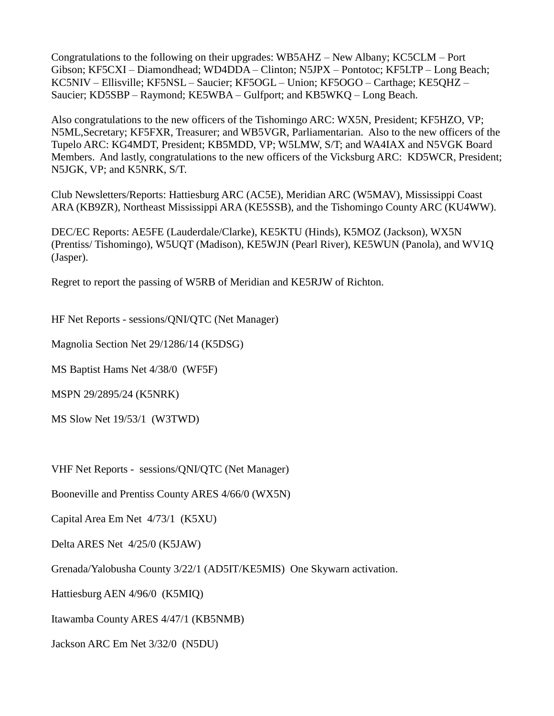Congratulations to the following on their upgrades: WB5AHZ – New Albany; KC5CLM – Port Gibson; KF5CXI – Diamondhead; WD4DDA – Clinton; N5JPX – Pontotoc; KF5LTP – Long Beach; KC5NIV – Ellisville; KF5NSL – Saucier; KF5OGL – Union; KF5OGO – Carthage; KE5QHZ – Saucier; KD5SBP – Raymond; KE5WBA – Gulfport; and KB5WKQ – Long Beach.

Also congratulations to the new officers of the Tishomingo ARC: WX5N, President; KF5HZO, VP; N5ML,Secretary; KF5FXR, Treasurer; and WB5VGR, Parliamentarian. Also to the new officers of the Tupelo ARC: KG4MDT, President; KB5MDD, VP; W5LMW, S/T; and WA4IAX and N5VGK Board Members. And lastly, congratulations to the new officers of the Vicksburg ARC: KD5WCR, President; N5JGK, VP; and K5NRK, S/T.

Club Newsletters/Reports: Hattiesburg ARC (AC5E), Meridian ARC (W5MAV), Mississippi Coast ARA (KB9ZR), Northeast Mississippi ARA (KE5SSB), and the Tishomingo County ARC (KU4WW).

DEC/EC Reports: AE5FE (Lauderdale/Clarke), KE5KTU (Hinds), K5MOZ (Jackson), WX5N (Prentiss/ Tishomingo), W5UQT (Madison), KE5WJN (Pearl River), KE5WUN (Panola), and WV1Q (Jasper).

Regret to report the passing of W5RB of Meridian and KE5RJW of Richton.

HF Net Reports - sessions/QNI/QTC (Net Manager)

Magnolia Section Net 29/1286/14 (K5DSG)

MS Baptist Hams Net 4/38/0 (WF5F)

MSPN 29/2895/24 (K5NRK)

MS Slow Net 19/53/1 (W3TWD)

VHF Net Reports - sessions/QNI/QTC (Net Manager)

Booneville and Prentiss County ARES 4/66/0 (WX5N)

Capital Area Em Net 4/73/1 (K5XU)

Delta ARES Net 4/25/0 (K5JAW)

Grenada/Yalobusha County 3/22/1 (AD5IT/KE5MIS) One Skywarn activation.

Hattiesburg AEN 4/96/0 (K5MIQ)

Itawamba County ARES 4/47/1 (KB5NMB)

Jackson ARC Em Net 3/32/0 (N5DU)